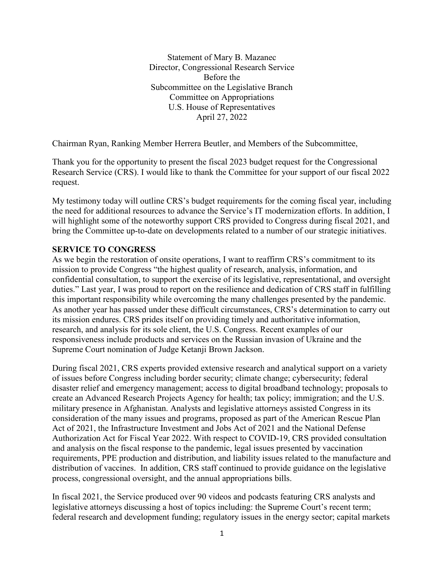Statement of Mary B. Mazanec Director, Congressional Research Service Before the Subcommittee on the Legislative Branch Committee on Appropriations U.S. House of Representatives April 27, 2022

Chairman Ryan, Ranking Member Herrera Beutler, and Members of the Subcommittee,

Thank you for the opportunity to present the fiscal 2023 budget request for the Congressional Research Service (CRS). I would like to thank the Committee for your support of our fiscal 2022 request.

My testimony today will outline CRS's budget requirements for the coming fiscal year, including the need for additional resources to advance the Service's IT modernization efforts. In addition, I will highlight some of the noteworthy support CRS provided to Congress during fiscal 2021, and bring the Committee up-to-date on developments related to a number of our strategic initiatives.

### **SERVICE TO CONGRESS**

As we begin the restoration of onsite operations, I want to reaffirm CRS's commitment to its mission to provide Congress "the highest quality of research, analysis, information, and confidential consultation, to support the exercise of its legislative, representational, and oversight duties." Last year, I was proud to report on the resilience and dedication of CRS staff in fulfilling this important responsibility while overcoming the many challenges presented by the pandemic. As another year has passed under these difficult circumstances, CRS's determination to carry out its mission endures. CRS prides itself on providing timely and authoritative information, research, and analysis for its sole client, the U.S. Congress. Recent examples of our responsiveness include products and services on the Russian invasion of Ukraine and the Supreme Court nomination of Judge Ketanji Brown Jackson.

During fiscal 2021, CRS experts provided extensive research and analytical support on a variety of issues before Congress including border security; climate change; cybersecurity; federal disaster relief and emergency management; access to digital broadband technology; proposals to create an Advanced Research Projects Agency for health; tax policy; immigration; and the U.S. military presence in Afghanistan. Analysts and legislative attorneys assisted Congress in its consideration of the many issues and programs, proposed as part of the American Rescue Plan Act of 2021, the Infrastructure Investment and Jobs Act of 2021 and the National Defense Authorization Act for Fiscal Year 2022. With respect to COVID-19, CRS provided consultation and analysis on the fiscal response to the pandemic, legal issues presented by vaccination requirements, PPE production and distribution, and liability issues related to the manufacture and distribution of vaccines. In addition, CRS staff continued to provide guidance on the legislative process, congressional oversight, and the annual appropriations bills.

In fiscal 2021, the Service produced over 90 videos and podcasts featuring CRS analysts and legislative attorneys discussing a host of topics including: the Supreme Court's recent term; federal research and development funding; regulatory issues in the energy sector; capital markets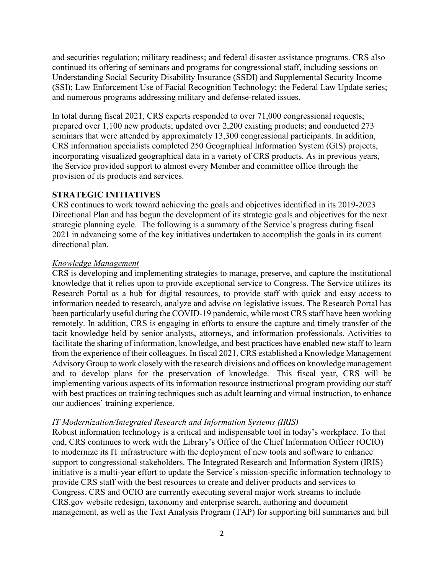and securities regulation; military readiness; and federal disaster assistance programs. CRS also continued its offering of seminars and programs for congressional staff, including sessions on Understanding Social Security Disability Insurance (SSDI) and Supplemental Security Income (SSI); Law Enforcement Use of Facial Recognition Technology; the Federal Law Update series; and numerous programs addressing military and defense-related issues.

In total during fiscal 2021, CRS experts responded to over 71,000 congressional requests; prepared over 1,100 new products; updated over 2,200 existing products; and conducted 273 seminars that were attended by approximately 13,300 congressional participants. In addition, CRS information specialists completed 250 Geographical Information System (GIS) projects, incorporating visualized geographical data in a variety of CRS products. As in previous years, the Service provided support to almost every Member and committee office through the provision of its products and services.

#### **STRATEGIC INITIATIVES**

CRS continues to work toward achieving the goals and objectives identified in its 2019-2023 Directional Plan and has begun the development of its strategic goals and objectives for the next strategic planning cycle. The following is a summary of the Service's progress during fiscal 2021 in advancing some of the key initiatives undertaken to accomplish the goals in its current directional plan.

#### *Knowledge Management*

CRS is developing and implementing strategies to manage, preserve, and capture the institutional knowledge that it relies upon to provide exceptional service to Congress. The Service utilizes its Research Portal as a hub for digital resources, to provide staff with quick and easy access to information needed to research, analyze and advise on legislative issues. The Research Portal has been particularly useful during the COVID-19 pandemic, while most CRS staff have been working remotely. In addition, CRS is engaging in efforts to ensure the capture and timely transfer of the tacit knowledge held by senior analysts, attorneys, and information professionals. Activities to facilitate the sharing of information, knowledge, and best practices have enabled new staff to learn from the experience of their colleagues. In fiscal 2021, CRS established a Knowledge Management Advisory Group to work closely with the research divisions and offices on knowledge management and to develop plans for the preservation of knowledge. This fiscal year, CRS will be implementing various aspects of its information resource instructional program providing our staff with best practices on training techniques such as adult learning and virtual instruction, to enhance our audiences' training experience.

### *IT Modernization/Integrated Research and Information Systems (IRIS)*

Robust information technology is a critical and indispensable tool in today's workplace. To that end, CRS continues to work with the Library's Office of the Chief Information Officer (OCIO) to modernize its IT infrastructure with the deployment of new tools and software to enhance support to congressional stakeholders. The Integrated Research and Information System (IRIS) initiative is a multi-year effort to update the Service's mission-specific information technology to provide CRS staff with the best resources to create and deliver products and services to Congress. CRS and OCIO are currently executing several major work streams to include CRS.gov website redesign, taxonomy and enterprise search, authoring and document management, as well as the Text Analysis Program (TAP) for supporting bill summaries and bill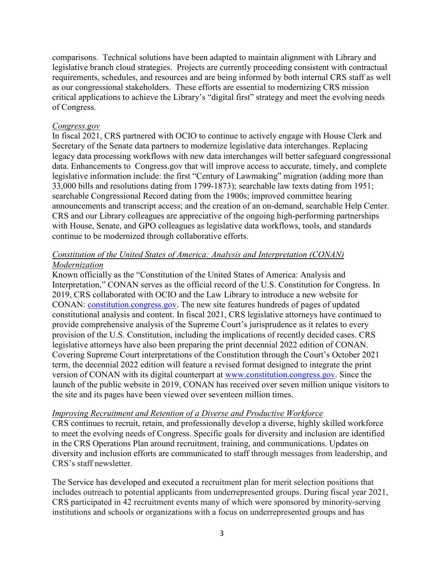comparisons. Technical solutions have been adapted to maintain alignment with Library and legislative branch cloud strategies. Projects are currently proceeding consistent with contractual requirements, schedules, and resources and are being informed by both internal CRS staff as well as our congressional stakeholders. These efforts are essential to modernizing CRS mission critical applications to achieve the Library's "digital first" strategy and meet the evolving needs of Congress.

#### *Congress.gov*

In fiscal 2021, CRS partnered with OCIO to continue to actively engage with House Clerk and Secretary of the Senate data partners to modernize legislative data interchanges. Replacing legacy data processing workflows with new data interchanges will better safeguard congressional data. Enhancements to Congress.gov that will improve access to accurate, timely, and complete legislative information include: the first "Century of Lawmaking" migration (adding more than 33,000 bills and resolutions dating from 1799-1873); searchable law texts dating from 1951; searchable Congressional Record dating from the 1900s; improved committee hearing announcements and transcript access; and the creation of an on-demand, searchable Help Center. CRS and our Library colleagues are appreciative of the ongoing high-performing partnerships with House, Senate, and GPO colleagues as legislative data workflows, tools, and standards continue to be modernized through collaborative efforts.

# *Constitution of the United States of America: Analysis and Interpretation (CONAN) Modernization*

Known officially as the "Constitution of the United States of America: Analysis and Interpretation," CONAN serves as the official record of the U.S. Constitution for Congress. In 2019, CRS collaborated with OCIO and the Law Library to introduce a new website for CONAN: [constitution.congress.gov.](https://constitution.congress.gov/) The new site features hundreds of pages of updated constitutional analysis and content. In fiscal 2021, CRS legislative attorneys have continued to provide comprehensive analysis of the Supreme Court's jurisprudence as it relates to every provision of the U.S. Constitution, including the implications of recently decided cases. CRS legislative attorneys have also been preparing the print decennial 2022 edition of CONAN. Covering Supreme Court interpretations of the Constitution through the Court's October 2021 term, the decennial 2022 edition will feature a revised format designed to integrate the print version of CONAN with its digital counterpart at [www.constitution.congress.gov.](http://www.constitution.congress.gov/) Since the launch of the public website in 2019, CONAN has received over seven million unique visitors to the site and its pages have been viewed over seventeen million times.

### *Improving Recruitment and Retention of a Diverse and Productive Workforce*

CRS continues to recruit, retain, and professionally develop a diverse, highly skilled workforce to meet the evolving needs of Congress. Specific goals for diversity and inclusion are identified in the CRS Operations Plan around recruitment, training, and communications. Updates on diversity and inclusion efforts are communicated to staff through messages from leadership, and CRS's staff newsletter.

The Service has developed and executed a recruitment plan for merit selection positions that includes outreach to potential applicants from underrepresented groups. During fiscal year 2021, CRS participated in 42 recruitment events many of which were sponsored by minority-serving institutions and schools or organizations with a focus on underrepresented groups and has